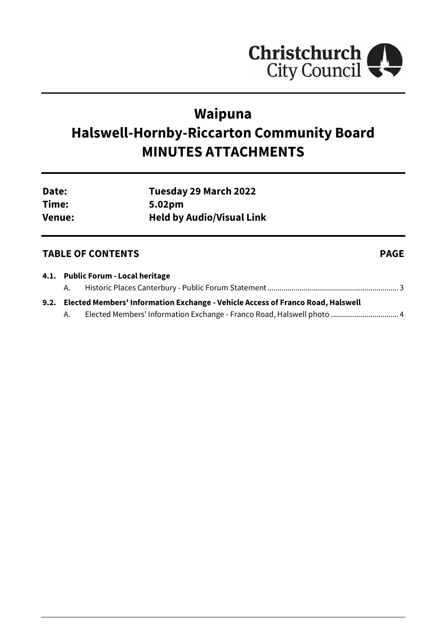

## **Waipuna**

## **Halswell-Hornby-Riccarton Community Board MINUTES ATTACHMENTS**

| Date:         | Tuesday 29 March 2022            |
|---------------|----------------------------------|
| Time:         | 5.02pm                           |
| <b>Venue:</b> | <b>Held by Audio/Visual Link</b> |

## **TABLE OF CONTENTS PAGE**

| 4.1. Public Forum - Local heritage                                                   |                                                                        |  |
|--------------------------------------------------------------------------------------|------------------------------------------------------------------------|--|
| A.                                                                                   |                                                                        |  |
| 9.2. Elected Members' Information Exchange - Vehicle Access of Franco Road, Halswell |                                                                        |  |
| A.                                                                                   | Elected Members' Information Exchange - Franco Road, Halswell photo  4 |  |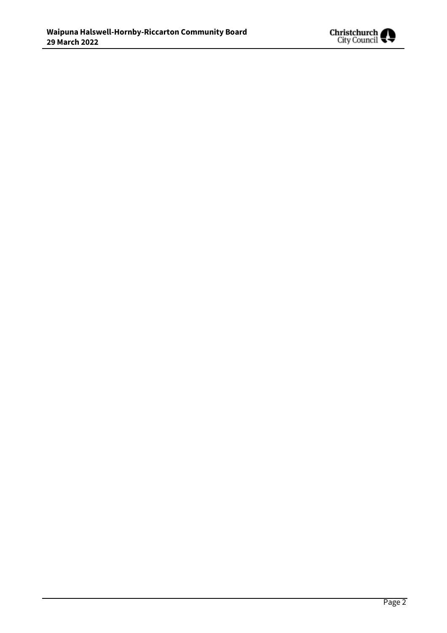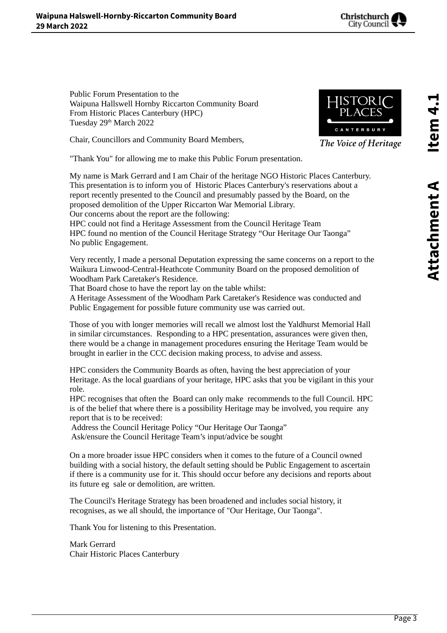<span id="page-2-0"></span>Public Forum Presentation to the Waipuna Hallswell Hornby Riccarton Community Board From Historic Places Canterbury (HPC) Tuesday 29<sup>th</sup> March 2022

Chair, Councillors and Community Board Members,

"Thank You" for allowing me to make this Public Forum presentation.

My name is Mark Gerrard and I am Chair of the heritage NGO Historic Places Canterbury. This presentation is to inform you of Historic Places Canterbury's reservations about a report recently presented to the Council and presumably passed by the Board, on the proposed demolition of the Upper Riccarton War Memorial Library. Our concerns about the report are the following:

HPC could not find a Heritage Assessment from the Council Heritage Team HPC found no mention of the Council Heritage Strategy "Our Heritage Our Taonga" No public Engagement.

Very recently, I made a personal Deputation expressing the same concerns on a report to the Waikura Linwood-Central-Heathcote Community Board on the proposed demolition of Woodham Park Caretaker's Residence.

That Board chose to have the report lay on the table whilst:

A Heritage Assessment of the Woodham Park Caretaker's Residence was conducted and Public Engagement for possible future community use was carried out.

Those of you with longer memories will recall we almost lost the Yaldhurst Memorial Hall in similar circumstances. Responding to a HPC presentation, assurances were given then, there would be a change in management procedures ensuring the Heritage Team would be brought in earlier in the CCC decision making process, to advise and assess.

HPC considers the Community Boards as often, having the best appreciation of your Heritage. As the local guardians of your heritage, HPC asks that you be vigilant in this your role.

HPC recognises that often the Board can only make recommends to the full Council. HPC is of the belief that where there is a possibility Heritage may be involved, you require any report that is to be received:

 Address the Council Heritage Policy "Our Heritage Our Taonga" Ask/ensure the Council Heritage Team's input/advice be sought

On a more broader issue HPC considers when it comes to the future of a Council owned building with a social history, the default setting should be Public Engagement to ascertain if there is a community use for it. This should occur before any decisions and reports about its future eg sale or demolition, are written.

The Council's Heritage Strategy has been broadened and includes social history, it recognises, as we all should, the importance of "Our Heritage, Our Taonga".

Thank You for listening to this Presentation.

Mark Gerrard Chair Historic Places Canterbury



The Voice of Heritage